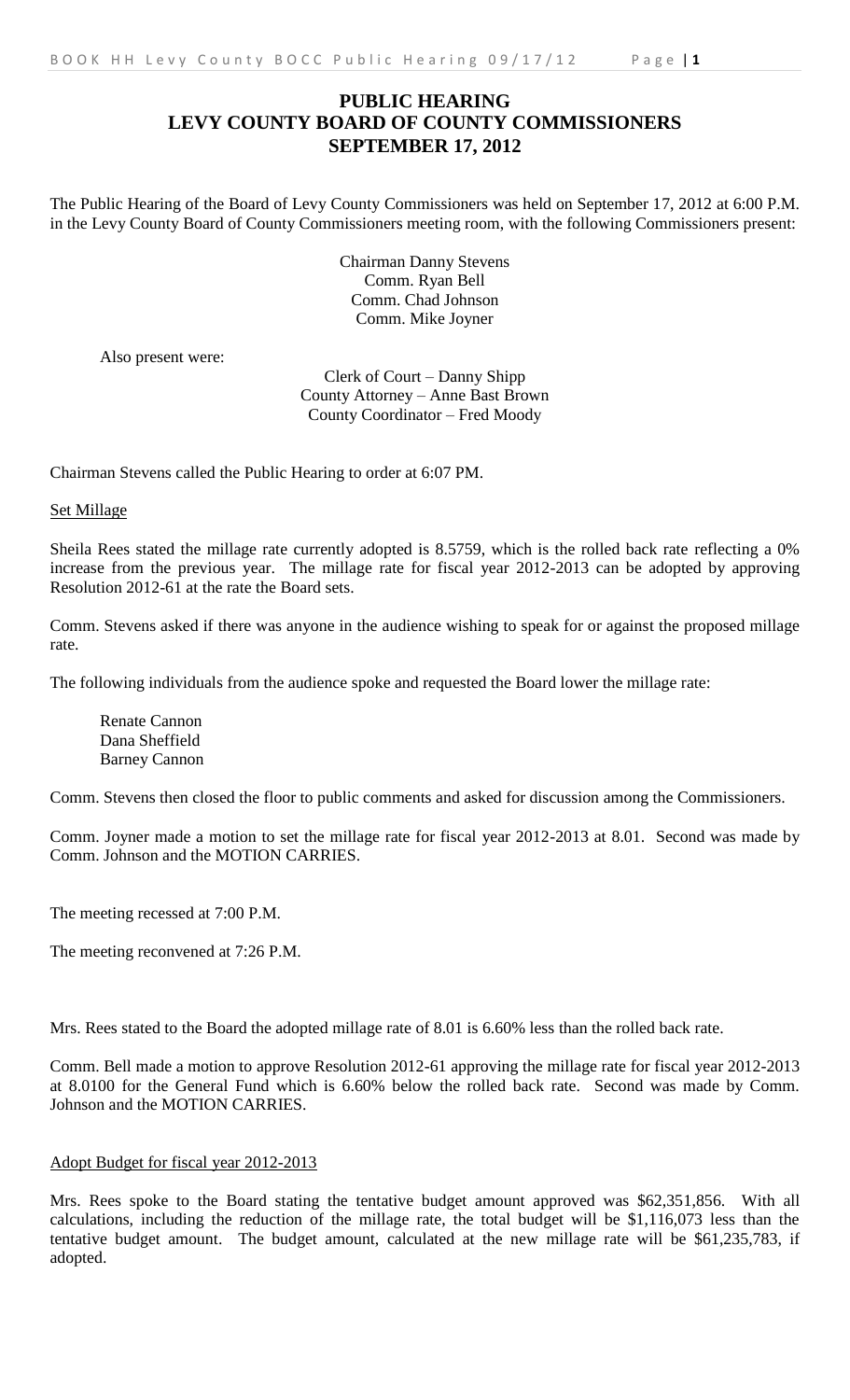## **PUBLIC HEARING LEVY COUNTY BOARD OF COUNTY COMMISSIONERS SEPTEMBER 17, 2012**

The Public Hearing of the Board of Levy County Commissioners was held on September 17, 2012 at 6:00 P.M. in the Levy County Board of County Commissioners meeting room, with the following Commissioners present:

> Chairman Danny Stevens Comm. Ryan Bell Comm. Chad Johnson Comm. Mike Joyner

Also present were:

Clerk of Court – Danny Shipp County Attorney – Anne Bast Brown County Coordinator – Fred Moody

Chairman Stevens called the Public Hearing to order at 6:07 PM.

Set Millage

Sheila Rees stated the millage rate currently adopted is 8.5759, which is the rolled back rate reflecting a 0% increase from the previous year. The millage rate for fiscal year 2012-2013 can be adopted by approving Resolution 2012-61 at the rate the Board sets.

Comm. Stevens asked if there was anyone in the audience wishing to speak for or against the proposed millage rate.

The following individuals from the audience spoke and requested the Board lower the millage rate:

Renate Cannon Dana Sheffield Barney Cannon

Comm. Stevens then closed the floor to public comments and asked for discussion among the Commissioners.

Comm. Joyner made a motion to set the millage rate for fiscal year 2012-2013 at 8.01. Second was made by Comm. Johnson and the MOTION CARRIES.

The meeting recessed at 7:00 P.M.

The meeting reconvened at 7:26 P.M.

Mrs. Rees stated to the Board the adopted millage rate of 8.01 is 6.60% less than the rolled back rate.

Comm. Bell made a motion to approve Resolution 2012-61 approving the millage rate for fiscal year 2012-2013 at 8.0100 for the General Fund which is 6.60% below the rolled back rate. Second was made by Comm. Johnson and the MOTION CARRIES.

## Adopt Budget for fiscal year 2012-2013

Mrs. Rees spoke to the Board stating the tentative budget amount approved was \$62,351,856. With all calculations, including the reduction of the millage rate, the total budget will be \$1,116,073 less than the tentative budget amount. The budget amount, calculated at the new millage rate will be \$61,235,783, if adopted.